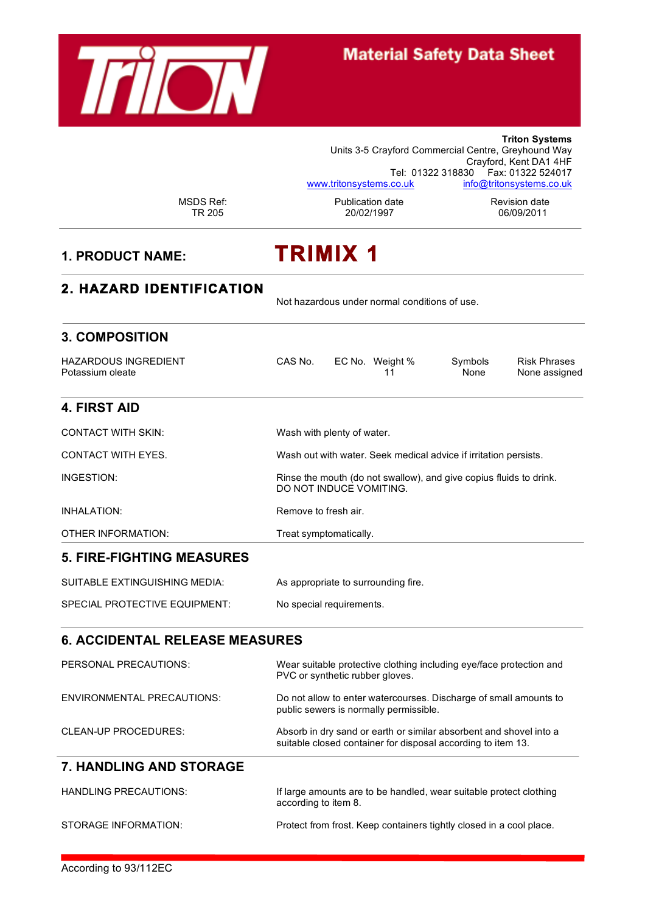

# **Material Safety Data Sheet**

|                                                 |                      | Units 3-5 Crayford Commercial Centre, Greyhound Way                                                                                |                 | <b>Triton Systems</b><br>Crayford, Kent DA1 4HF<br>Tel: 01322 318830    Fax: 01322 524017 |  |  |  |
|-------------------------------------------------|----------------------|------------------------------------------------------------------------------------------------------------------------------------|-----------------|-------------------------------------------------------------------------------------------|--|--|--|
| <b>MSDS Ref:</b><br><b>TR 205</b>               |                      | www.tritonsystems.co.uk<br>Publication date<br>20/02/1997                                                                          |                 | info@tritonsystems.co.uk<br><b>Revision date</b><br>06/09/2011                            |  |  |  |
| <b>1. PRODUCT NAME:</b>                         |                      | <b>TRIMIX 1</b>                                                                                                                    |                 |                                                                                           |  |  |  |
| <b>2. HAZARD IDENTIFICATION</b>                 |                      | Not hazardous under normal conditions of use.                                                                                      |                 |                                                                                           |  |  |  |
| <b>3. COMPOSITION</b>                           |                      |                                                                                                                                    |                 |                                                                                           |  |  |  |
| <b>HAZARDOUS INGREDIENT</b><br>Potassium oleate | CAS No.              | EC No. Weight %<br>11                                                                                                              | Symbols<br>None | <b>Risk Phrases</b><br>None assigned                                                      |  |  |  |
| <b>4. FIRST AID</b>                             |                      |                                                                                                                                    |                 |                                                                                           |  |  |  |
| <b>CONTACT WITH SKIN:</b>                       |                      | Wash with plenty of water.                                                                                                         |                 |                                                                                           |  |  |  |
| <b>CONTACT WITH EYES.</b>                       |                      | Wash out with water. Seek medical advice if irritation persists.                                                                   |                 |                                                                                           |  |  |  |
| INGESTION:                                      |                      | Rinse the mouth (do not swallow), and give copius fluids to drink.<br>DO NOT INDUCE VOMITING.                                      |                 |                                                                                           |  |  |  |
| <b>INHALATION:</b>                              | Remove to fresh air. |                                                                                                                                    |                 |                                                                                           |  |  |  |
| OTHER INFORMATION:                              |                      | Treat symptomatically.                                                                                                             |                 |                                                                                           |  |  |  |
| <b>5. FIRE-FIGHTING MEASURES</b>                |                      |                                                                                                                                    |                 |                                                                                           |  |  |  |
| <b>SUITABLE EXTINGUISHING MEDIA:</b>            |                      | As appropriate to surrounding fire.                                                                                                |                 |                                                                                           |  |  |  |
| SPECIAL PROTECTIVE EQUIPMENT:                   |                      | No special requirements.                                                                                                           |                 |                                                                                           |  |  |  |
| <b>6. ACCIDENTAL RELEASE MEASURES</b>           |                      |                                                                                                                                    |                 |                                                                                           |  |  |  |
| PERSONAL PRECAUTIONS:                           |                      | Wear suitable protective clothing including eye/face protection and<br>PVC or synthetic rubber gloves.                             |                 |                                                                                           |  |  |  |
| <b>ENVIRONMENTAL PRECAUTIONS:</b>               |                      | Do not allow to enter watercourses. Discharge of small amounts to<br>public sewers is normally permissible.                        |                 |                                                                                           |  |  |  |
| <b>CLEAN-UP PROCEDURES:</b>                     |                      | Absorb in dry sand or earth or similar absorbent and shovel into a<br>suitable closed container for disposal according to item 13. |                 |                                                                                           |  |  |  |
| <b>7. HANDLING AND STORAGE</b>                  |                      |                                                                                                                                    |                 |                                                                                           |  |  |  |
| <b>HANDLING PRECAUTIONS:</b>                    |                      | If large amounts are to be handled, wear suitable protect clothing<br>according to item 8.                                         |                 |                                                                                           |  |  |  |
| STORAGE INFORMATION:                            |                      | Protect from frost. Keep containers tightly closed in a cool place.                                                                |                 |                                                                                           |  |  |  |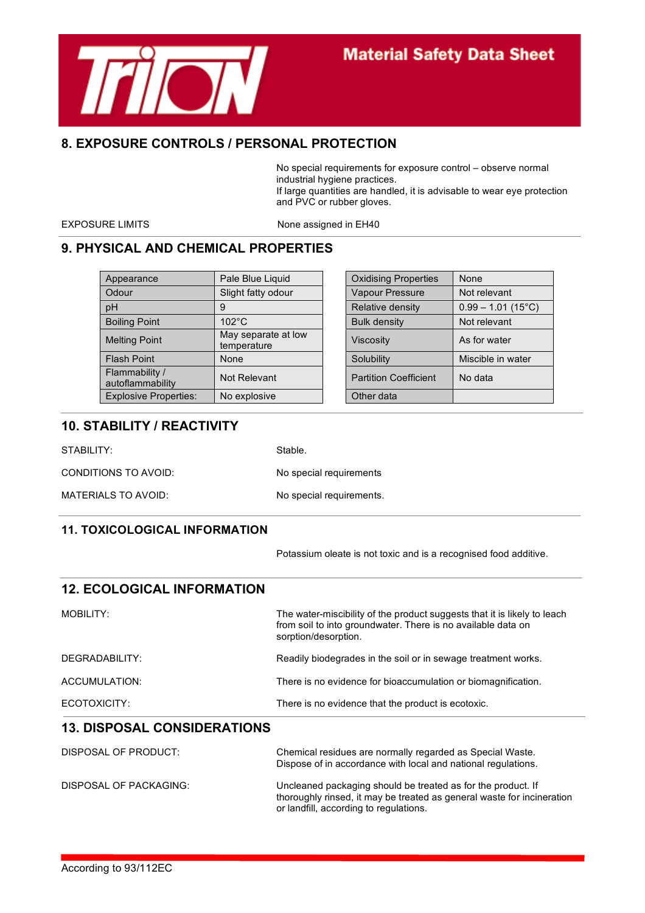

## **Material Safety Data Sheet**

#### **8. EXPOSURE CONTROLS / PERSONAL PROTECTION**

No special requirements for exposure control – observe normal industrial hygiene practices. If large quantities are handled, it is advisable to wear eye protection and PVC or rubber gloves.

EXPOSURE LIMITS None assigned in EH40

## **9. PHYSICAL AND CHEMICAL PROPERTIES**

| Appearance                         | Pale Blue Liquid                   | <b>Oxidising Properties</b>  | None                 |
|------------------------------------|------------------------------------|------------------------------|----------------------|
| Odour                              | Slight fatty odour                 | <b>Vapour Pressure</b>       | Not relevant         |
| pH                                 | 9                                  | Relative density             | $0.99 - 1.01$ (15°C) |
| <b>Boiling Point</b>               | $102^{\circ}$ C                    | <b>Bulk density</b>          | Not relevant         |
| <b>Melting Point</b>               | May separate at low<br>temperature | <b>Viscosity</b>             | As for water         |
| <b>Flash Point</b>                 | None                               | Solubility                   | Miscible in water    |
| Flammability /<br>autoflammability | Not Relevant                       | <b>Partition Coefficient</b> | No data              |
| <b>Explosive Properties:</b>       | No explosive                       | Other data                   |                      |

| Pale Blue Liquid                   | <b>Oxidising Properties</b>  | None                 |
|------------------------------------|------------------------------|----------------------|
| Slight fatty odour                 | Vapour Pressure              | Not relevant         |
| g                                  | Relative density             | $0.99 - 1.01$ (15°C) |
| $102^{\circ}$ C                    | <b>Bulk density</b>          | Not relevant         |
| May separate at low<br>temperature | <b>Viscosity</b>             | As for water         |
| None                               | Solubility                   | Miscible in water    |
| Not Relevant                       | <b>Partition Coefficient</b> | No data              |
| No explosive                       | Other data                   |                      |

#### **10. STABILITY / REACTIVITY**

STABILITY: Stable.

CONDITIONS TO AVOID: No special requirements

MATERIALS TO AVOID: No special requirements.

#### **11. TOXICOLOGICAL INFORMATION**

Potassium oleate is not toxic and is a recognised food additive.

thoroughly rinsed, it may be treated as general waste for incineration

| <b>12. ECOLOGICAL INFORMATION</b>  |                                                                                                                                                                  |  |  |
|------------------------------------|------------------------------------------------------------------------------------------------------------------------------------------------------------------|--|--|
| MOBILITY:                          | The water-miscibility of the product suggests that it is likely to leach<br>from soil to into groundwater. There is no available data on<br>sorption/desorption. |  |  |
| DEGRADABILITY:                     | Readily biodegrades in the soil or in sewage treatment works.                                                                                                    |  |  |
| ACCUMULATION:                      | There is no evidence for bioaccumulation or biomagnification.                                                                                                    |  |  |
| ECOTOXICITY:                       | There is no evidence that the product is ecotoxic.                                                                                                               |  |  |
| <b>13. DISPOSAL CONSIDERATIONS</b> |                                                                                                                                                                  |  |  |
| DISPOSAL OF PRODUCT:               | Chemical residues are normally regarded as Special Waste.<br>Dispose of in accordance with local and national regulations.                                       |  |  |
| DISPOSAL OF PACKAGING:             | Uncleaned packaging should be treated as for the product. If                                                                                                     |  |  |

or landfill, according to regulations.